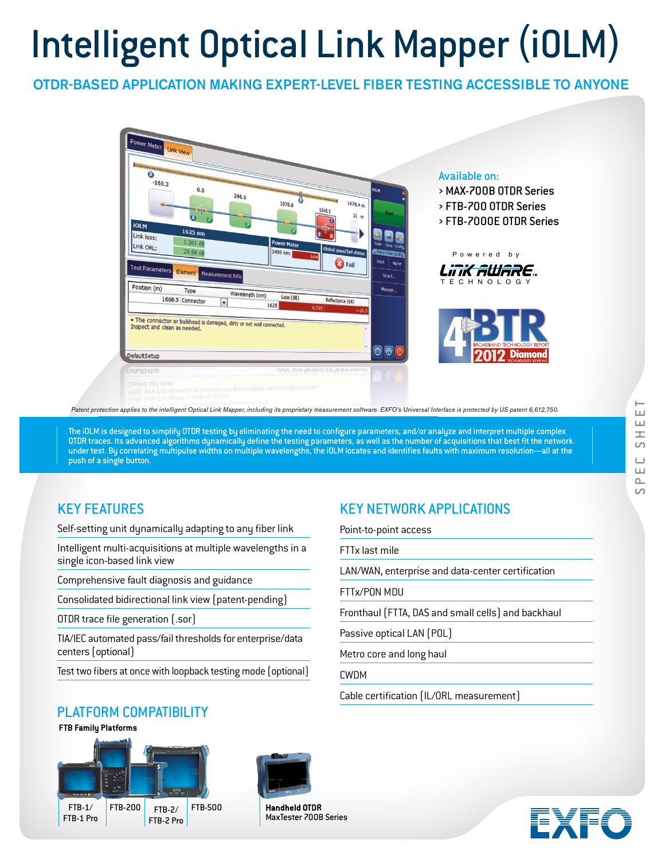# Intelligent Optical Link Mapper (iOLM)

## OTDR-BASED APPLICATION MAKING EXPERT-LEVEL FIBER TESTING ACCESSIBLE TO ANYONE



*Patent protection applies to the intelligent Optical Link Mapper, including its proprietary measurement software. EXFO's Universal Interface is protected by US patent 6,612,750.*

The iOLM is designed to simplify OTDR testing by eliminating the need to configure parameters, and/or analyze and interpret multiple complex OTDR traces. Its advanced algorithms dynamically define the testing parameters, as well as the number of acquisitions that best fit the network under test. By correlating multipulse widths on multiple wavelengths, the iOLM locates and identifies faults with maximum resolution—all at the push of a single button.

## KEY FEATURES

Self-setting unit dynamically adapting to any fiber link

Intelligent multi-acquisitions at multiple wavelengths in a single icon-based link view

Comprehensive fault diagnosis and guidance

Consolidated bidirectional link view (patent-pending)

OTDR trace file generation [.sor]

TIA/IEC automated pass/fail thresholds for enterprise/data centers (optional)

Test two fibers at once with loopback testing mode (optional)

# KEY NETWORK APPLICATIONS

Point-to-point access

FTTx last mile

LAN/WAN, enterprise and data-center certification

FTTx/PON MDU

Fronthaul (FTTA, DAS and small cells) and backhaul

Passive optical LAN (POL)

Metro core and long haul

CWDM

Cable certification (IL/ORL measurement)

## PLATFORM COMPATIBILITY

**FTB Family Platforms**





**Handheld OTDR** MaxTester 700B Series

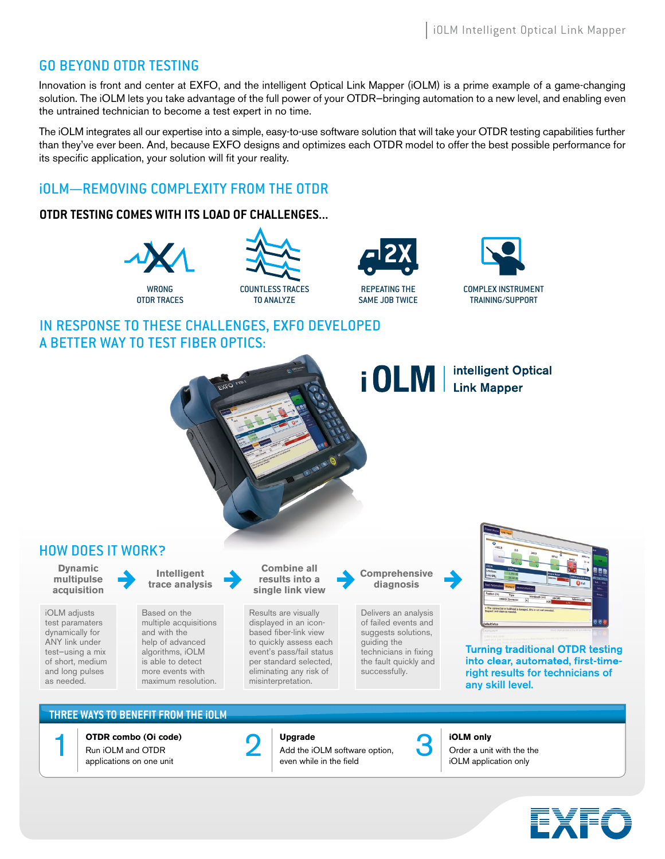## GO BEYOND OTDR TESTING

Innovation is front and center at EXFO, and the intelligent Optical Link Mapper (iOLM) is a prime example of a game-changing solution. The iOLM lets you take advantage of the full power of your OTDR—bringing automation to a new level, and enabling even the untrained technician to become a test expert in no time.

The iOLM integrates all our expertise into a simple, easy-to-use software solution that will take your OTDR testing capabilities further than they've ever been. And, because EXFO designs and optimizes each OTDR model to offer the best possible performance for its specific application, your solution will fit your reality.

# iOLM—REMOVING COMPLEXITY FROM THE OTDR

## **OTDR TESTING COMES WITH ITS LOAD OF CHALLENGES...**



COUNTLESS TRACES TO ANALYZE ES WITH ITS LUAD OF CHALLENGES...<br>
X<br>
<u>MONIC COUNT ESSERVES</u>





# IN RESPONSE TO THESE CHALLENGES, EXFO DEVELOPED A BETTER WAY TO TEST FIBER OPTICS:

*i* OLM | intelligent Optical HOW DOES IT WORK? **Dynamic Combine all Intelligent Comprehensive multipulse results into a trace analysis diagnosis acquisition single link view**

iOLM adjusts test paramaters dynamically for ANY link under test—using a mix of short, medium and long pulses as needed.

Based on the multiple acquisitions and with the help of advanced algorithms, iOLM is able to detect more events with maximum resolution.

Results are visually displayed in an iconbased fiber-link view to quickly assess each event's pass/fail status per standard selected, eliminating any risk of misinterpretation.

Delivers an analysis of failed events and suggests solutions, guiding the technicians in fixing the fault quickly and successfully.



Turning traditional OTDR testing into clear, automated, first-timeright results for technicians of any skill level.

## **THREE WAYS TO BENEFIT FROM THE iOLM**



**OTDR combo (Oi code)**

Run iOLM and OTDR applications on one unit



**Upgrade** Add the iOLM software option, even while in the field The COLM combo (Oi code)<br>
Num iOLM and OTDR<br>
Add the iOLM software option,<br>
annications on one unit<br>
annications on one unit



#### **iOLM only**

iOLM application only

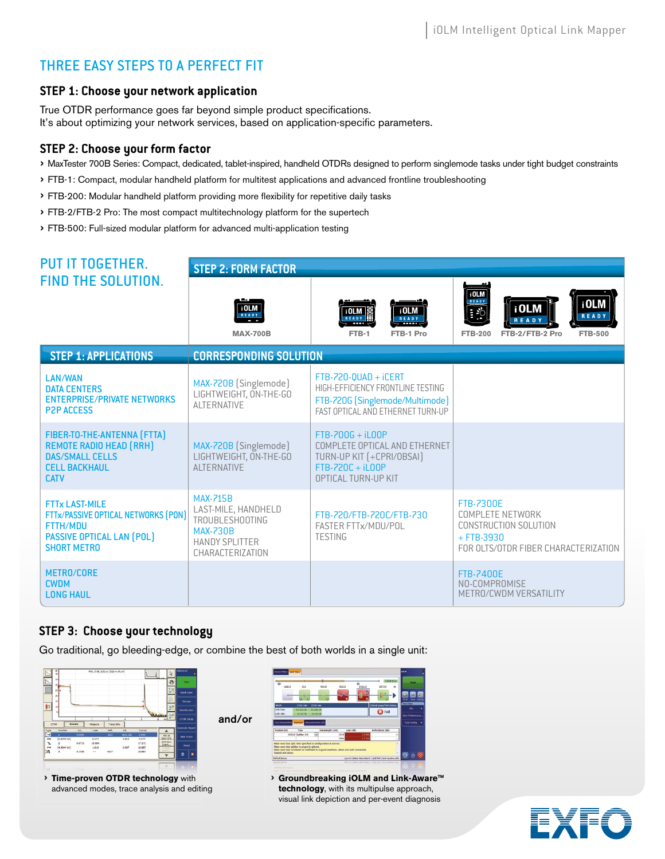# THREE EASY STEPS TO A PERFECT FIT

## **STEP 1: Choose your network application**

True OTDR performance goes far beyond simple product specifications. It's about optimizing your network services, based on application-specific parameters.

## **STEP 2: Choose your form factor**

- › MaxTester 700B Series: Compact, dedicated, tablet-inspired, handheld OTDRs designed to perform singlemode tasks under tight budget constraints
- › FTB-1: Compact, modular handheld platform for multitest applications and advanced frontline troubleshooting
- › FTB-200: Modular handheld platform providing more fl exibility for repetitive daily tasks
- › FTB-2/FTB-2 Pro: The most compact multitechnology platform for the supertech
- › FTB-500: Full-sized modular platform for advanced multi-application testing

| <b>PUT IT TOGETHER.</b>                                                                                                                   | <b>STEP 2: FORM FACTOR</b>                                                                                                       |                                                                                                                                            |                                                                                                                                               |  |
|-------------------------------------------------------------------------------------------------------------------------------------------|----------------------------------------------------------------------------------------------------------------------------------|--------------------------------------------------------------------------------------------------------------------------------------------|-----------------------------------------------------------------------------------------------------------------------------------------------|--|
| <b>FIND THE SOLUTION.</b>                                                                                                                 | $\frac{1}{R}$ <sub>READY</sub><br><b>MAX-700B</b>                                                                                | i OLM<br>i OLM<br>$R$ <b>EADY</b><br>$R E A D Y$<br>FTB-1<br>FTB-1 Pro                                                                     | $\overline{10LM}$<br>i OLM<br>i OLM<br>$\boxed{\cdot}$<br><b>READY</b><br><b>READY</b><br><b>FTB-200</b><br>FTB-2/FTB-2 Pro<br><b>FTB-500</b> |  |
| <b>STEP 1: APPLICATIONS</b>                                                                                                               | <b>CORRESPONDING SOLUTION</b>                                                                                                    |                                                                                                                                            |                                                                                                                                               |  |
| <b>LAN/WAN</b><br><b>DATA CENTERS</b><br><b>ENTERPRISE/PRIVATE NETWORKS</b><br><b>P2P ACCESS</b>                                          | MAX-720B (Singlemode)<br>LIGHTWEIGHT, ON-THE-GO<br><b>AI TFRNATIVE</b>                                                           | $FTB-720-0UAD + iCERT$<br>HIGH-EFFICIENCY FRONTLINE TESTING<br>FTB-720G (Singlemode/Multimode)<br><b>FAST OPTICAL AND FTHERNET TURN-UP</b> |                                                                                                                                               |  |
| FIBER-TO-THE-ANTENNA (FTTA)<br><b>REMOTE RADIO HEAD (RRH)</b><br><b>DAS/SMALL CELLS</b><br><b>CELL BACKHAUL</b><br><b>CATV</b>            | MAX-720B (Singlemode)<br>LIGHTWEIGHT, ON-THE-GO<br><b>AI TERNATIVE</b>                                                           | $FTB-700G + iLOOP$<br>COMPLETE OPTICAL AND ETHERNET<br>TURN-UP KIT [+CPRI/OBSAI]<br>$FTB-720C + iLOOP$<br>OPTICAL TURN-UP KIT              |                                                                                                                                               |  |
| <b>FTTx LAST-MILE</b><br>FTTx/PASSIVE OPTICAL NETWORKS (PON)<br><b>FTTH/MDU</b><br><b>PASSIVE OPTICAL LAN (POL)</b><br><b>SHORT METRO</b> | <b>MAX-715B</b><br>LAST-MILE, HANDHELD<br><b>TROUBLESHOOTING</b><br><b>MAX-730B</b><br><b>HANDY SPLITTER</b><br>CHARACTERIZATION | FTB-720/FTB-720C/FTB-730<br>FASTER FTTx/MDU/POL<br><b>TESTING</b>                                                                          | <b>FTB-7300E</b><br>COMPLETE NETWORK<br>CONSTRUCTION SOLUTION<br>$+$ FTB-3930<br>FOR OLTS/OTDR FIBER CHARACTERIZATION                         |  |
| <b>METRO/CORE</b><br><b>CWDM</b><br><b>LONG HAUL</b>                                                                                      |                                                                                                                                  |                                                                                                                                            | <b>FTB-7400E</b><br>NO-COMPROMISE<br>METRO/CWDM VERSATILITY                                                                                   |  |

## **STEP 3: Choose your technology**

Go traditional, go bleeding-edge, or combine the best of both worlds in a single unit:



› **Time-proven OTDR technology** with advanced modes, trace analysis and editing



› **Groundbreaking iOLM and Link-Aware™ technology**, with its multipulse approach, visual link depiction and per-event diagnosis

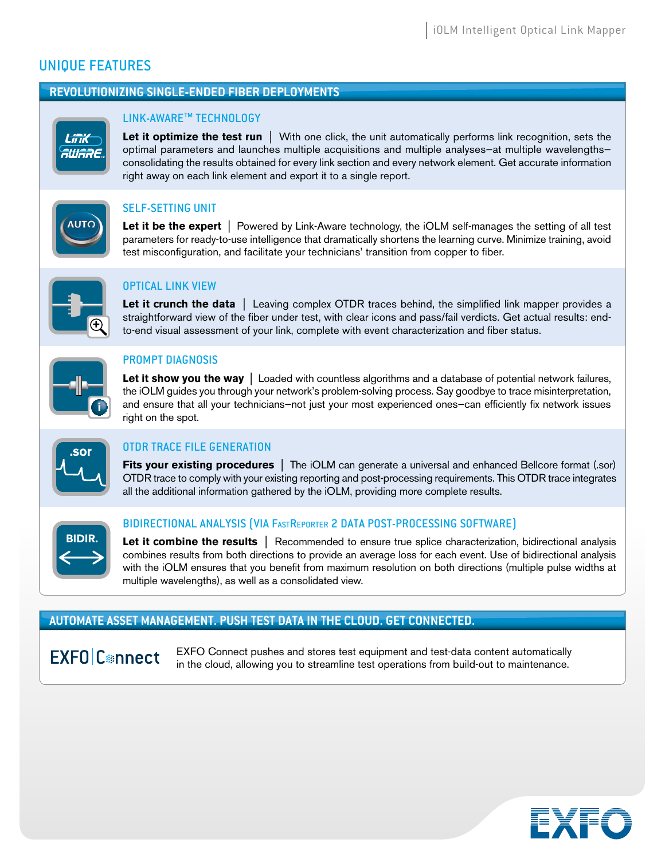# UNIQUE FEATURES

## **REVOLUTIONIZING SINGLE-ENDED FIBER DEPLOYMENTS**



## LINK-AWARE™ TECHNOLOGY

**Let it optimize the test run** | With one click, the unit automatically performs link recognition, sets the optimal parameters and launches multiple acquisitions and multiple analyses—at multiple wavelengths consolidating the results obtained for every link section and every network element. Get accurate information right away on each link element and export it to a single report.



## SELF-SETTING UNIT

**Let it be the expert** | Powered by Link-Aware technology, the iOLM self-manages the setting of all test parameters for ready-to-use intelligence that dramatically shortens the learning curve. Minimize training, avoid test misconfiguration, and facilitate your technicians' transition from copper to fiber.



## OPTICAL LINK VIEW

**Let it crunch the data** | Leaving complex OTDR traces behind, the simplified link mapper provides a straightforward view of the fiber under test, with clear icons and pass/fail verdicts. Get actual results: endto-end visual assessment of your link, complete with event characterization and fiber status.



## PROMPT DIAGNOSIS

**Let it show you the way** | Loaded with countless algorithms and a database of potential network failures, the iOLM guides you through your network's problem-solving process. Say goodbye to trace misinterpretation, and ensure that all your technicians—not just your most experienced ones—can efficiently fix network issues right on the spot.



## *OTDR TRACE FILE GENERATION*

**Fits your existing procedures** | The iOLM can generate a universal and enhanced Bellcore format (.sor) OTDR trace to comply with your existing reporting and post-processing requirements. This OTDR trace integrates all the additional information gathered by the iOLM, providing more complete results.



## BIDIRECTIONAL ANALYSIS (VIA FASTREPORTER 2 DATA POST-PROCESSING SOFTWARE)

**Let it combine the results** | Recommended to ensure true splice characterization, bidirectional analysis combines results from both directions to provide an average loss for each event. Use of bidirectional analysis with the iOLM ensures that you benefit from maximum resolution on both directions (multiple pulse widths at multiple wavelengths), as well as a consolidated view.

## **AUTOMATE ASSET MANAGEMENT. PUSH TEST DATA IN THE CLOUD. GET CONNECTED.**

**EXFO** C<sup>®</sup>nnect

EXFO Connect pushes and stores test equipment and test-data content automatically in the cloud, allowing you to streamline test operations from build-out to maintenance.

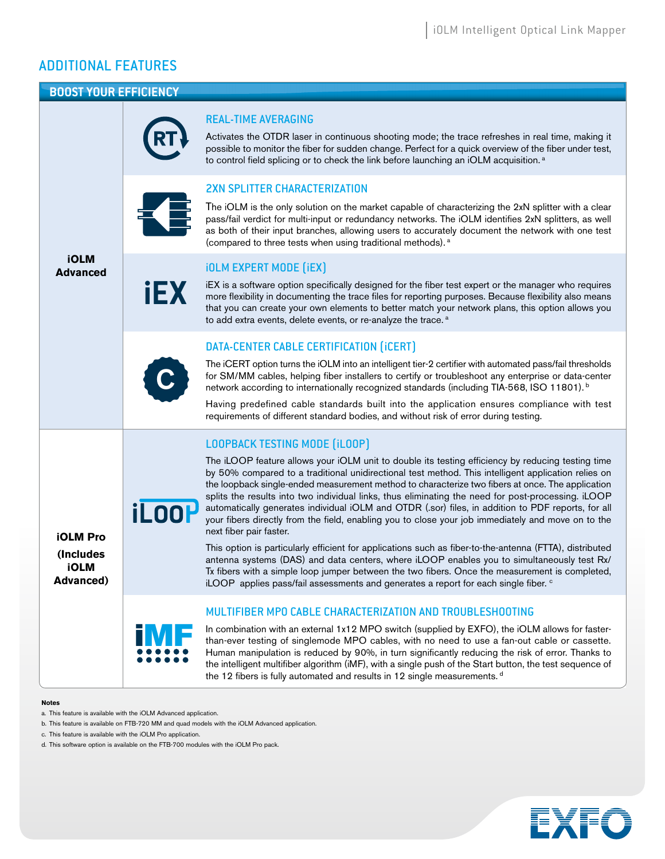## ADDITIONAL FEATURES

#### **BOOST YOUR EFFICIENCY**



a. This feature is available with the iOLM Advanced application.

- c. This feature is available with the iOLM Pro application.
- d. This software option is available on the FTB-700 modules with the iOLM Pro pack.



b. This feature is available on FTB-720 MM and quad models with the iOLM Advanced application.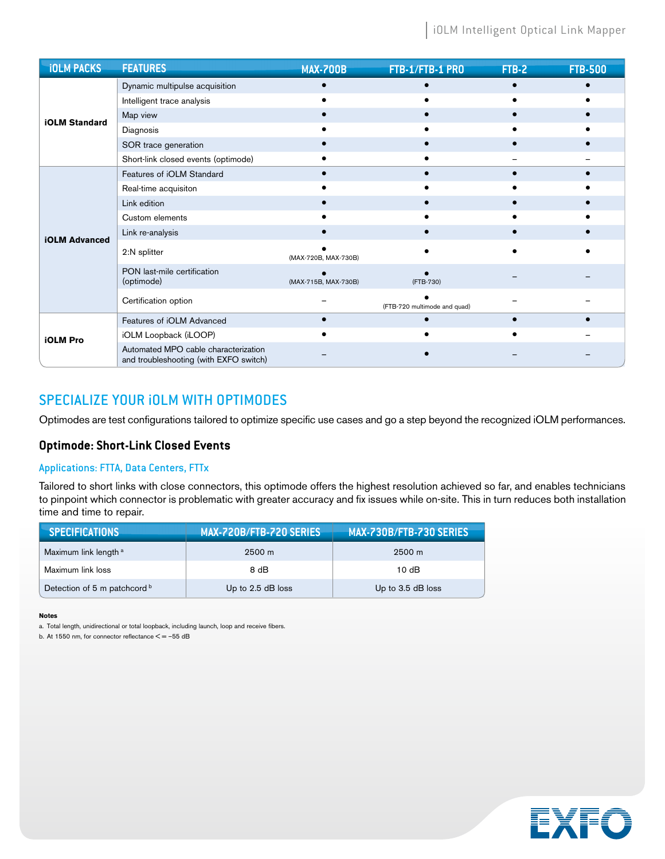| <b>iOLM PACKS</b>    | <b>FEATURES</b>                                                                | <b>MAX-700B</b>      | FTB-1/FTB-1 PRO              | FTB-2 | <b>FTB-500</b> |
|----------------------|--------------------------------------------------------------------------------|----------------------|------------------------------|-------|----------------|
| <b>iOLM Standard</b> | Dynamic multipulse acquisition                                                 |                      |                              |       |                |
|                      | Intelligent trace analysis                                                     |                      |                              |       |                |
|                      | Map view                                                                       |                      |                              |       |                |
|                      | Diagnosis                                                                      |                      |                              |       |                |
|                      | SOR trace generation                                                           |                      |                              |       |                |
|                      | Short-link closed events (optimode)                                            |                      |                              |       |                |
|                      | Features of iOLM Standard                                                      |                      |                              |       |                |
|                      | Real-time acquisiton                                                           |                      |                              |       |                |
|                      | Link edition                                                                   |                      |                              |       |                |
|                      | Custom elements                                                                |                      |                              |       |                |
| <b>iOLM Advanced</b> | Link re-analysis                                                               |                      |                              |       |                |
|                      | 2:N splitter                                                                   | (MAX-720B, MAX-730B) |                              |       |                |
|                      | PON last-mile certification<br>(optimode)                                      | (MAX-715B, MAX-730B) | (FTB-730)                    |       |                |
|                      | Certification option                                                           |                      | (FTB-720 multimode and quad) |       |                |
| <b>iOLM Pro</b>      | Features of iOLM Advanced                                                      |                      |                              |       |                |
|                      | iOLM Loopback (iLOOP)                                                          |                      |                              |       |                |
|                      | Automated MPO cable characterization<br>and troubleshooting (with EXFO switch) |                      |                              |       |                |

## SPECIALIZE YOUR iOLM WITH OPTIMODES

Optimodes are test configurations tailored to optimize specific use cases and go a step beyond the recognized iOLM performances.

## **Optimode: Short-Link Closed Events**

## Applications: FTTA, Data Centers, FTTx

Tailored to short links with close connectors, this optimode offers the highest resolution achieved so far, and enables technicians to pinpoint which connector is problematic with greater accuracy and fix issues while on-site. This in turn reduces both installation time and time to repair.

| <b>SPECIFICATIONS</b>            | MAX-720B/FTB-720 SERIES | MAX-730B/FTB-730 SERIES |
|----------------------------------|-------------------------|-------------------------|
| Maximum link length <sup>a</sup> | $2500 \; \mathrm{m}$    | $2500 \; \mathrm{m}$    |
| Maximum link loss                | 8 dB                    | 10dB                    |
| Detection of 5 m patchcord b     | Up to $2.5$ dB loss     | Up to 3.5 dB loss       |

#### **Notes**

a. Total length, unidirectional or total loopback, including launch, loop and receive fibers.

b. At 1550 nm, for connector reflectance  $\leq$  = -55 dB

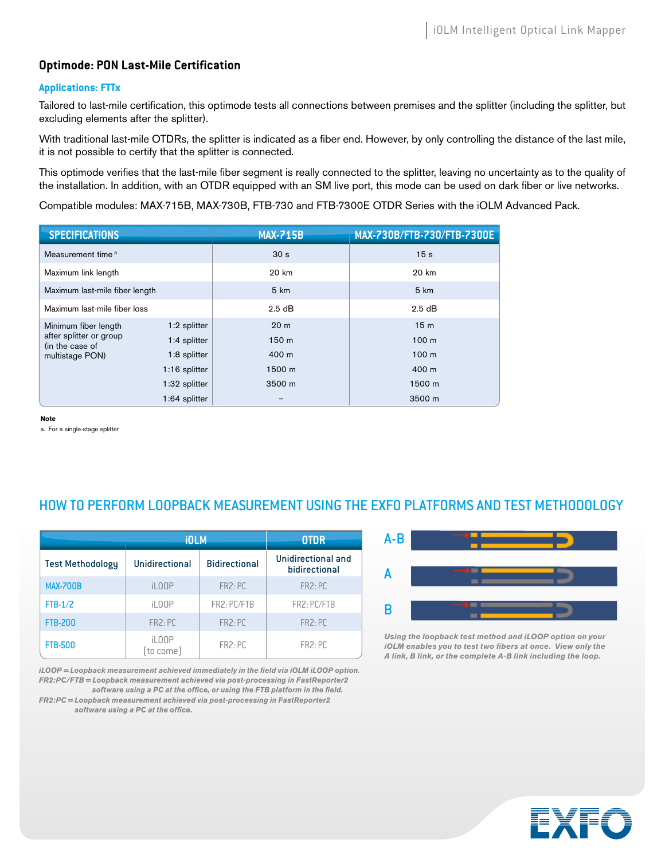## **Optimode: PON Last-Mile Certification**

## **Applications: FTTx**

Tailored to last-mile certification, this optimode tests all connections between premises and the splitter (including the splitter, but excluding elements after the splitter).

With traditional last-mile OTDRs, the splitter is indicated as a fiber end. However, by only controlling the distance of the last mile, it is not possible to certify that the splitter is connected.

This optimode verifies that the last-mile fiber segment is really connected to the splitter, leaving no uncertainty as to the quality of the installation. In addition, with an OTDR equipped with an SM live port, this mode can be used on dark fiber or live networks.

Compatible modules: MAX-715B, MAX-730B, FTB-730 and FTB-7300E OTDR Series with the iOLM Advanced Pack.

| <b>SPECIFICATIONS</b>                                                                 |               | <b>MAX-715B</b>  | MAX-730B/FTB-730/FTB-7300E |
|---------------------------------------------------------------------------------------|---------------|------------------|----------------------------|
| Measurement time <sup>a</sup>                                                         |               | 30 <sub>s</sub>  | 15 <sub>s</sub>            |
| Maximum link length                                                                   |               | 20 km            | 20 km                      |
| Maximum last-mile fiber length                                                        |               | 5 km             | 5 km                       |
| Maximum last-mile fiber loss                                                          |               | 2.5dB            | $2.5$ dB                   |
| Minimum fiber length<br>after splitter or group<br>(in the case of<br>multistage PON) | 1:2 splitter  | 20 <sub>m</sub>  | 15 <sub>m</sub>            |
|                                                                                       | 1:4 splitter  | 150 <sub>m</sub> | 100 <sub>m</sub>           |
|                                                                                       | 1:8 splitter  | 400 m            | 100 <sub>m</sub>           |
|                                                                                       | 1:16 splitter | 1500 m           | 400 m                      |
|                                                                                       | 1:32 splitter | 3500 m           | 1500 m                     |
|                                                                                       | 1:64 splitter |                  | 3500 m                     |

**Note**

a. For a single-stage splitter

## HOW TO PERFORM LOOPBACK MEASUREMENT USING THE EXFO PLATFORMS AND TEST METHODOLOGY

|                         | <b>iOLM</b>          | <b>OTDR</b>          |                                     |
|-------------------------|----------------------|----------------------|-------------------------------------|
| <b>Test Methodology</b> | Unidirectional       | <b>Bidirectional</b> | Unidirectional and<br>bidirectional |
| <b>MAX-700B</b>         | iL <sub>0</sub> OP   | FR2:PC               | FR <sub>2</sub> : PC                |
| $FTB-1/2$               | iL00P                | FR2: PC/FTB          | FR2: PC/FTB                         |
| <b>FTB-200</b>          | FR <sub>2</sub> : PC | FR <sub>2</sub> : PC | FR <sub>2</sub> : PC                |
| <b>FTB-500</b>          | iL00P<br>to come)    | FR2:PC               | FR <sub>2</sub> : PC                |

*iLOOP* = Loopback measurement achieved immediately in the field via *iOLM iLOOP* option. *FR2:PC/FTB = Loopback measurement achieved via post-processing in FastReporter2* 

software using a PC at the office, or using the FTB platform in the field. *FR2:PC = Loopback measurement achieved via post-processing in FastReporter2* 

software using a PC at the office.



*Using the loopback test method and iLOOP option on your iOLM* enables you to test two fibers at once. View only the *A link, B link, or the complete A-B link including the loop.*

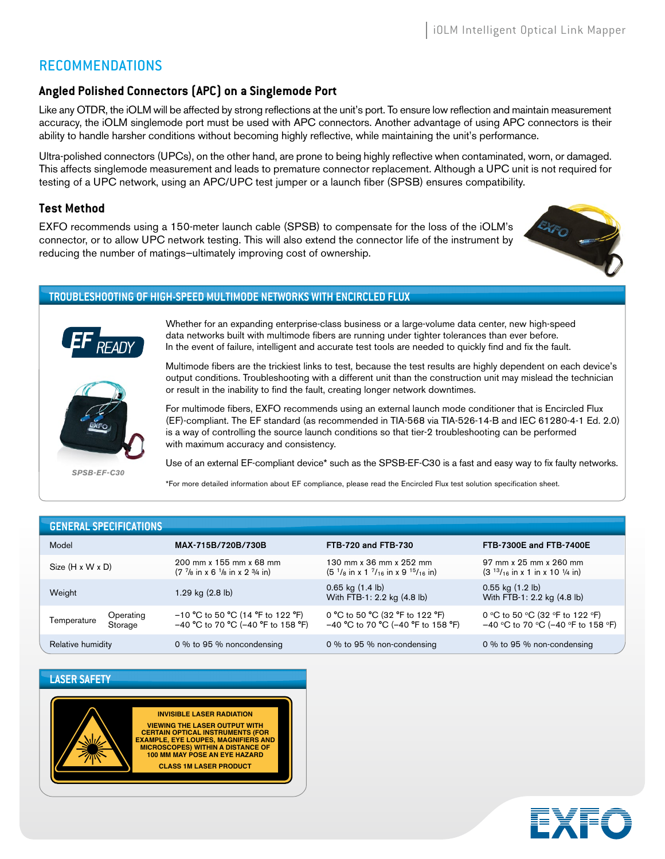## RECOMMENDATIONS

## **Angled Polished Connectors (APC) on a Singlemode Port**

Like any OTDR, the iOLM will be affected by strong reflections at the unit's port. To ensure low reflection and maintain measurement accuracy, the iOLM singlemode port must be used with APC connectors. Another advantage of using APC connectors is their ability to handle harsher conditions without becoming highly reflective, while maintaining the unit's performance.

Ultra-polished connectors (UPCs), on the other hand, are prone to being highly reflective when contaminated, worn, or damaged. This affects singlemode measurement and leads to premature connector replacement. Although a UPC unit is not required for testing of a UPC network, using an APC/UPC test jumper or a launch fiber (SPSB) ensures compatibility.

## **Test Method**

EXFO recommends using a 150-meter launch cable (SPSB) to compensate for the loss of the iOLM's connector, or to allow UPC network testing. This will also extend the connector life of the instrument by reducing the number of matings—ultimately improving cost of ownership.



#### **TROUBLESHOOTING OF HIGH-SPEED MULTIMODE NETWORKS WITH ENCIRCLED FLUX**



Whether for an expanding enterprise-class business or a large-volume data center, new high-speed data networks built with multimode fibers are running under tighter tolerances than ever before. In the event of failure, intelligent and accurate test tools are needed to quickly find and fix the fault.



Multimode fibers are the trickiest links to test, because the test results are highly dependent on each device's output conditions. Troubleshooting with a different unit than the construction unit may mislead the technician or result in the inability to find the fault, creating longer network downtimes.

For multimode fibers, EXFO recommends using an external launch mode conditioner that is Encircled Flux (EF)-compliant. The EF standard (as recommended in TIA-568 via TIA-526-14-B and IEC 61280-4-1 Ed. 2.0) is a way of controlling the source launch conditions so that tier-2 troubleshooting can be performed with maximum accuracy and consistency.

*SPSB-EF-C30*

Use of an external EF-compliant device\* such as the SPSB-EF-C30 is a fast and easy way to fix faulty networks.

\* For more detailed information about EF compliance, please read the Encircled Flux test solution specification sheet.

|                              | <b>GENERAL SPECIFICATIONS</b> |                                                                                           |                                                                         |                                                                            |
|------------------------------|-------------------------------|-------------------------------------------------------------------------------------------|-------------------------------------------------------------------------|----------------------------------------------------------------------------|
| Model                        |                               | MAX-715B/720B/730B                                                                        | <b>FTB-720 and FTB-730</b>                                              | <b>FTB-7300E and FTB-7400E</b>                                             |
| Size $(H \times W \times D)$ |                               | 200 mm x 155 mm x 68 mm<br>$(7 \frac{7}{8}$ in x 6 $\frac{1}{8}$ in x 2 $\frac{3}{4}$ in) | 130 mm x 36 mm x 252 mm<br>$(51/8$ in x 1 $7/16$ in x 9 $15/16$ in)     | 97 mm x 25 mm x 260 mm<br>$(3^{13}/_{16}$ in x 1 in x 10 $\frac{1}{4}$ in) |
| Weight                       |                               | 1.29 kg $(2.8 \text{ lb})$                                                                | $0.65$ kg $(1.4 \text{ lb})$<br>With FTB-1: 2.2 kg (4.8 lb)             | $0.55$ kg $(1.2 \text{ lb})$<br>With FTB-1: 2.2 kg (4.8 lb)                |
| Temperature                  | Operating<br>Storage          | $-10$ °C to 50 °C (14 °F to 122 °F)<br>$-40$ °C to 70 °C (-40 °F to 158 °F)               | 0 °C to 50 °C (32 °F to 122 °F)<br>$-40$ °C to 70 °C (-40 °F to 158 °F) | 0 °C to 50 °C (32 °F to 122 °F)<br>$-40$ °C to 70 °C (-40 °F to 158 °F)    |
| Relative humidity            |                               | 0 % to 95 % noncondensing                                                                 | 0 % to 95 % non-condensing                                              | 0 % to 95 % non-condensing                                                 |

## **LASER SAFETY**



**VIEWING THE LASER OUTPUT WITH CERTAIN OPTICAL INSTRUMENTS (FOR EXAMPLE, EYE LOUPES, MAGNIFIERS AND MICROSCOPES) WITHIN A DISTANCE OF 100 MM MAY POSE AN EYE HAZARD CLASS 1M LASER PRODUCT**

**INVISIBLE LASER RADIATION**

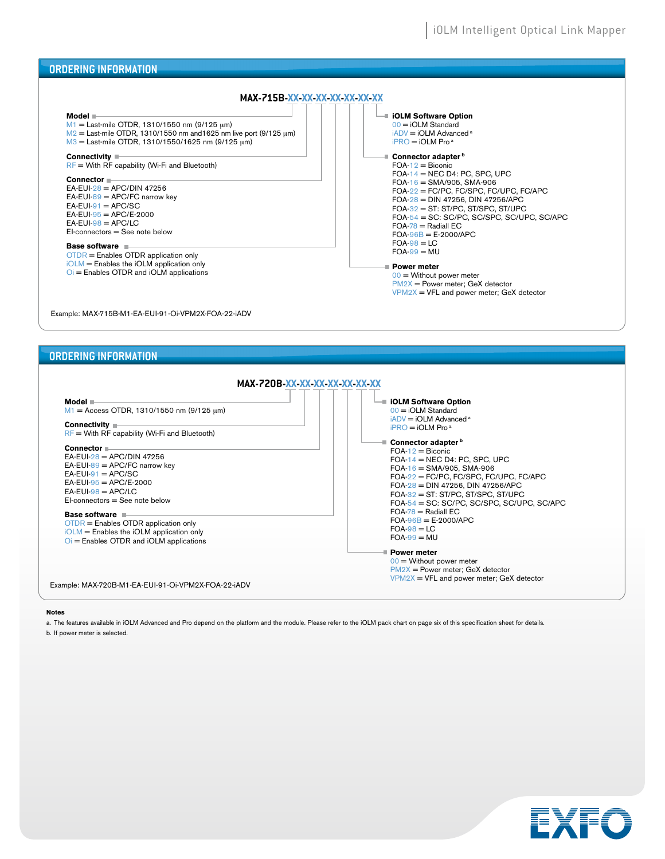

 $FOA-98 = LC$  $FOA-99 = MU$ **Power meter**

00 = Without power meter PM2X = Power meter; GeX detector  $VPM2X = VFL$  and power meter; GeX detector

OTDR = Enables OTDR application only iOLM = Enables the iOLM application only Oi = Enables OTDR and iOLM applications

Example: MAX-720B-M1-EA-EUI-91-Oi-VPM2X-FOA-22-iADV

#### **Notes**

a. The features available in iOLM Advanced and Pro depend on the platform and the module. Please refer to the iOLM pack chart on page six of this specification sheet for details.

b. If power meter is selected.

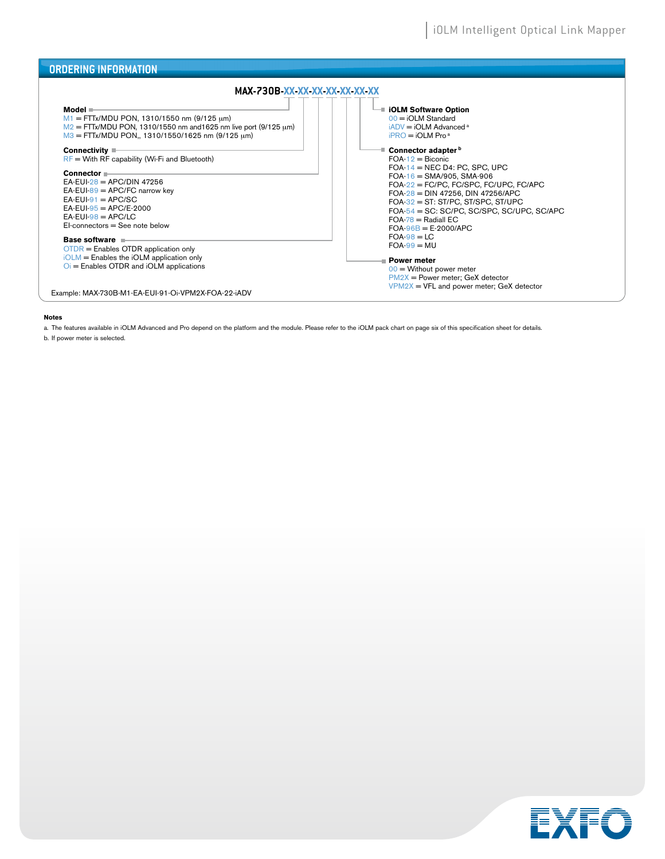| <b>ORDERING INFORMATION</b>                                                                                                                                                                                                                                                                                                                                                                                                                                                                                                                                                                                                                                                                                                            |                                                                                                                                                                                                                                                                                                                                                                                                                                                                                                                                                                                                                                                           |
|----------------------------------------------------------------------------------------------------------------------------------------------------------------------------------------------------------------------------------------------------------------------------------------------------------------------------------------------------------------------------------------------------------------------------------------------------------------------------------------------------------------------------------------------------------------------------------------------------------------------------------------------------------------------------------------------------------------------------------------|-----------------------------------------------------------------------------------------------------------------------------------------------------------------------------------------------------------------------------------------------------------------------------------------------------------------------------------------------------------------------------------------------------------------------------------------------------------------------------------------------------------------------------------------------------------------------------------------------------------------------------------------------------------|
| MAX-730B-XX-XX-XX-XX-XX-XX-XX<br>Model ■<br>$M1 = FTTx/MDU PON$ , 1310/1550 nm (9/125 µm)<br>$M2 = FTTx/MDU PON$ , 1310/1550 nm and 1625 nm live port (9/125 µm)<br>$M3 = FTTx/MDU PON$ , 1310/1550/1625 nm (9/125 µm)<br>Connectivity $\blacksquare$<br>$RF =$ With RF capability (Wi-Fi and Bluetooth)<br>Connector =<br>EA-EUI- $28 =$ APC/DIN 47256<br>$EA$ -EUI-89 = APC/FC narrow key<br>$EA-EUI-91 = APC/SC$<br>$EA$ -EUI-95 = APC/E-2000<br>$FA-FUI-98 = APC/I C$<br>$El-connectors = See note below$<br>Base software<br>$OTDR$ = Enables OTDR application only<br>$iOLM =$ Enables the $iOLM$ application only<br>$\overline{O}$ = Enables OTDR and iOLM applications<br>Example: MAX-730B-M1-EA-EUI-91-Oi-VPM2X-FOA-22-iADV | <b>■ iOLM Software Option</b><br>$00 = iOLM$ Standard<br>$iADV = iOLM$ Advanced <sup>a</sup><br>$iPRO = iOLM Proa$<br><sup>■</sup> Connector adapter <sup>b</sup><br>$FOA-12 = Biconic$<br>FOA-14 = NEC D4: PC, SPC, UPC<br>$FOA-16 = SMA/905$ , SMA-906<br>FOA-22 = FC/PC, FC/SPC, FC/UPC, FC/APC<br>FOA- $28 =$ DIN 47256, DIN 47256/APC<br>$FOA-32 = ST: ST/PC, ST/SPC, ST/UPC$<br>$FOA-54 = SC: SC/PC, SC/SPC, SC/UPC, SC/APC$<br>$FOA-78 = RadialEC$<br>$FOA-96B = E-2000/APC$<br>$FOA-98 = LC$<br>$FOA-99 = MU$<br>■ Power meter<br>$00 =$ Without power meter<br>$PM2X = Power$ meter; GeX detector<br>$VPM2X = VFL$ and power meter; GeX detector |

#### **Notes**

a. The features available in iOLM Advanced and Pro depend on the platform and the module. Please refer to the iOLM pack chart on page six of this specification sheet for details.

b. If power meter is selected.

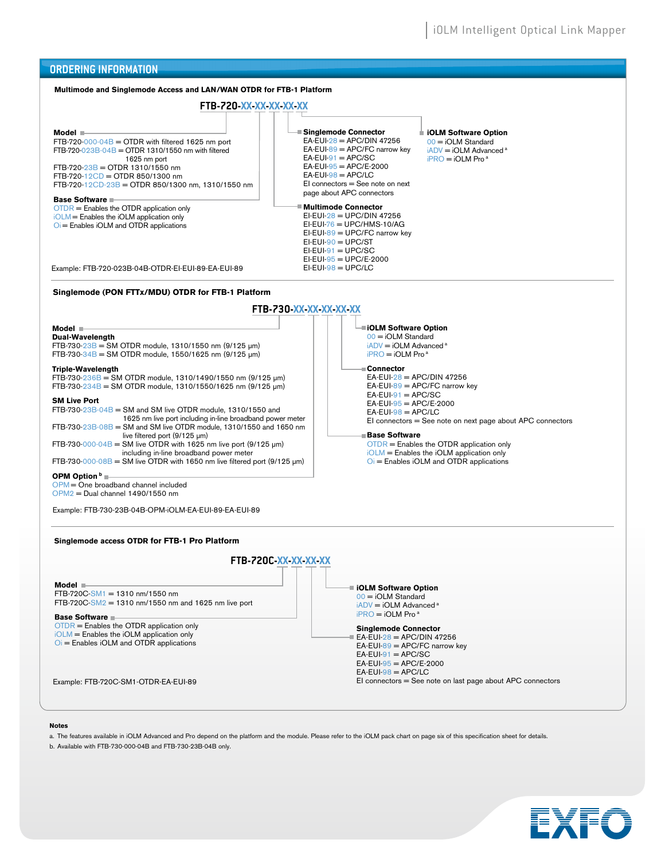

#### **Notes**

a. The features available in iOLM Advanced and Pro depend on the platform and the module. Please refer to the iOLM pack chart on page six of this specification sheet for details.

b. Available with FTB-730-000-04B and FTB-730-23B-04B only.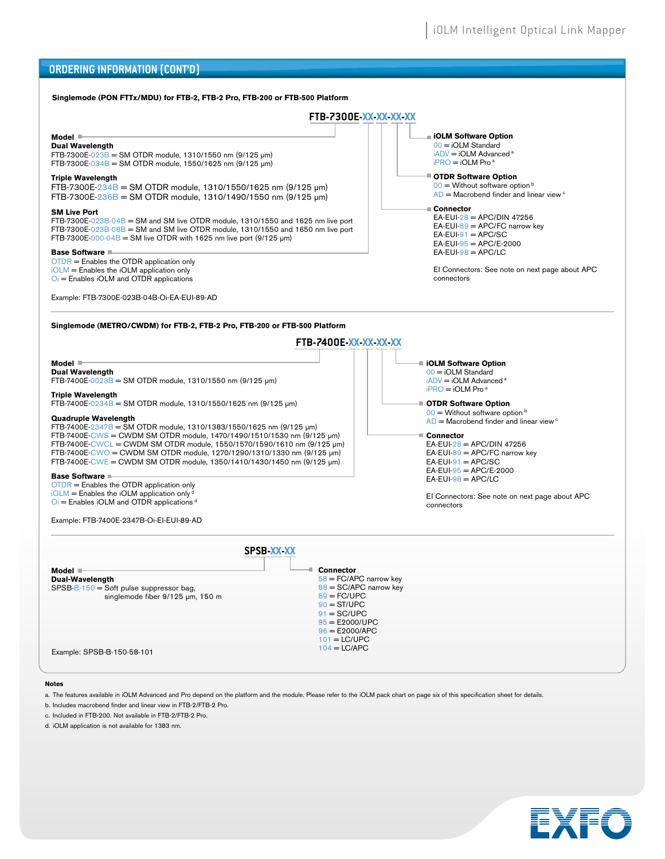#### **ORDERING INFORMATION (CONT'D)**



#### **Notes**

a. The features available in iOLM Advanced and Pro depend on the platform and the module. Please refer to the iOLM pack chart on page six of this specification sheet for details.

b. Includes macrobend finder and linear view in FTB-2/FTB-2 Pro.

c. Included in FTB-200. Not available in FTB-2/FTB-2 Pro.

d. iOLM application is not available for 1383 nm.